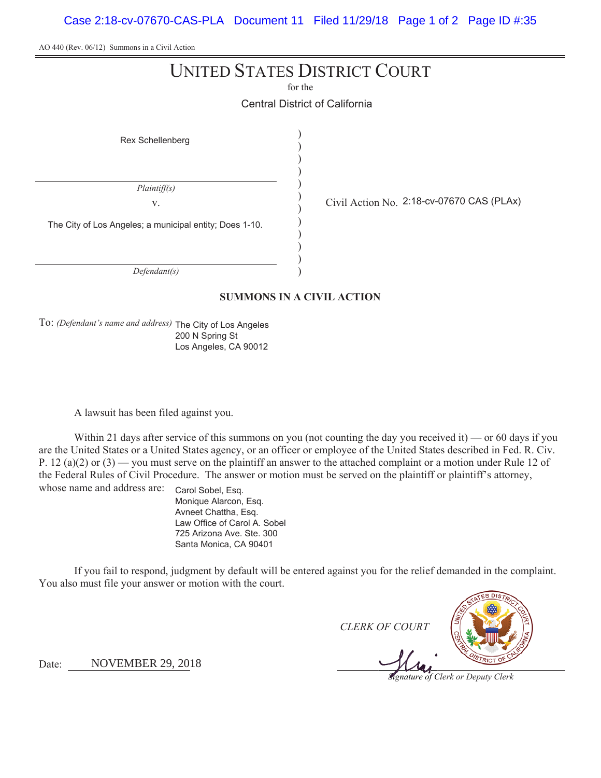Case 2:18-cv-07670-CAS-PLA Document 11 Filed 11/29/18 Page 1 of 2 Page ID #:35

AO 440 (Rev. 06/12) Summons in a Civil Action

## UNITED STATES DISTRICT COURT

for the

) ) ) ) ) ) ) ) ) ) ) )

Central District of California

Rex Schellenberg

*Plaintiff(s)*

v.  $\begin{matrix} \downarrow \\ \downarrow \end{matrix}$  Civil Action No. 2:18-cv-07670 CAS (PLAx)

The City of Los Angeles; a municipal entity; Does 1-10.

*Defendant(s)*

## SUMMONS IN A CIVIL ACTION

To: *(Defendant's name and address)* The City of Los Angeles 200 N Spring St Los Angeles, CA 90012

A lawsuit has been filed against you.

Within 21 days after service of this summons on you (not counting the day you received it) — or 60 days if you are the United States or a United States agency, or an officer or employee of the United States described in Fed. R. Civ. P. 12 (a)(2) or (3) — you must serve on the plaintiff an answer to the attached complaint or a motion under Rule 12 of the Federal Rules of Civil Procedure. The answer or motion must be served on the plaintiff or plaintiff's attorney, whose name and address are: Carol Sobel, Esq.

Monique Alarcon, Esq. Avneet Chattha, Esq. Law Office of Carol A. Sobel 725 Arizona Ave. Ste. 300 Santa Monica, CA 90401

If you fail to respond, judgment by default will be entered against you for the relief demanded in the complaint. You also must file your answer or motion with the court.

*CLERK OF COURT*

Date: NOVEMBER 29, 2018

*Signature of Clerk or Deputy Clerk Signature of C*